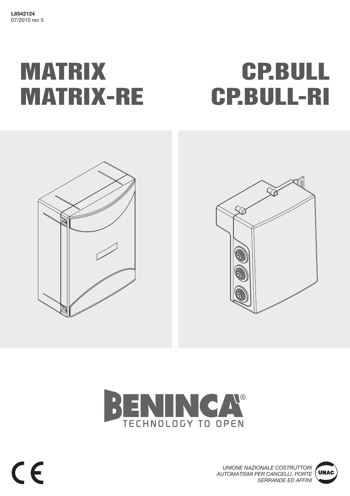# MATRIX MATRIX-RE

# CP.BULL CP.BULL-RI







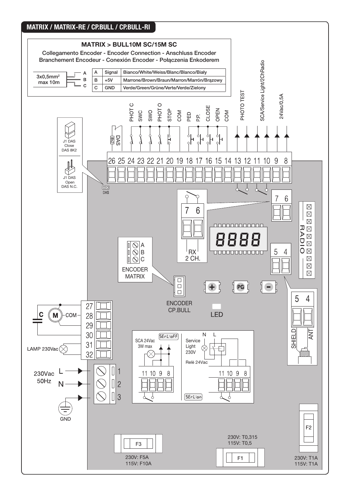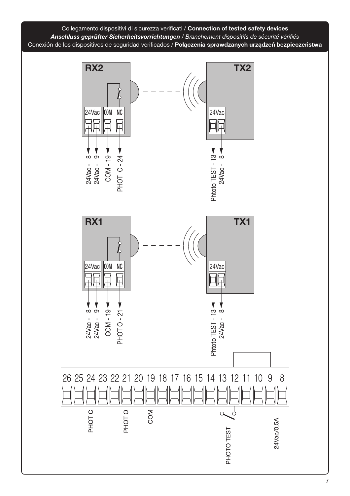

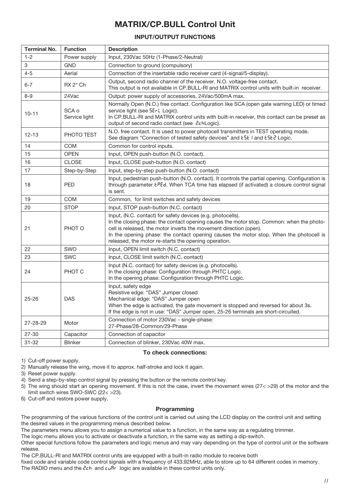# MATRIX/CP.BULL Control Unit

# INPUT/OUTPUT FUNCTIONS

| <b>Terminal No.</b> | <b>Function</b>        | <b>Description</b>                                                                                                                                                                                                                                                                                                                                                              |
|---------------------|------------------------|---------------------------------------------------------------------------------------------------------------------------------------------------------------------------------------------------------------------------------------------------------------------------------------------------------------------------------------------------------------------------------|
| $1 - 2$             | Power supply           | Input, 230Vac 50Hz (1-Phase/2-Neutral)                                                                                                                                                                                                                                                                                                                                          |
| 3                   | GND                    | Connection to ground (compulsory)                                                                                                                                                                                                                                                                                                                                               |
| 4-5                 | Aerial                 | Connection of the insertable radio receiver card (4-signal/5-display).                                                                                                                                                                                                                                                                                                          |
| $6 - 7$             | $RX 2^{\circ} Ch$      | Output, second radio channel of the receiver. N.O. voltage-free contact.<br>This output is not available in CP.BULL-RI and MATRIX control units with built-in receiver.                                                                                                                                                                                                         |
| $8 - 9$             | 24Vac                  | Output: power supply of accessories, 24Vac/500mA max.                                                                                                                                                                                                                                                                                                                           |
| $10 - 11$           | SCA o<br>Service light | Normally Open (N.O.) free contact. Configuration like SCA (open gate warning LED) or timed<br>service light (see 5ErL Logic).<br>In CP.BULL-RI and MATRIX control units with built-in receiver, this contact can be preset as<br>output of second radio contact (see ZchLogic).                                                                                                 |
| $12 - 13$           | PHOTO TEST             | N.O. free contact. It is used to power photocell transmitters in TEST operating mode.<br>See diagram "Connection of tested safety devices" and E5L I and E5L2 Logic.                                                                                                                                                                                                            |
| 14                  | <b>COM</b>             | Common for control inputs.                                                                                                                                                                                                                                                                                                                                                      |
| 15                  | <b>OPEN</b>            | Input, OPEN push-button (N.O. contact).                                                                                                                                                                                                                                                                                                                                         |
| 16                  | <b>CLOSE</b>           | Input, CLOSE push-button (N.O. contact)                                                                                                                                                                                                                                                                                                                                         |
| 17                  | Step-by-Step           | Input, step-by-step push-button (N.O. contact)                                                                                                                                                                                                                                                                                                                                  |
| 18                  | <b>PED</b>             | Input, pedestrian push-button (N.O. contact). It controls the partial opening. Configuration is<br>through parameter <i>EPEd</i> . When TCA time has elapsed (if activated) a closure control signal<br>is sent.                                                                                                                                                                |
| 19                  | <b>COM</b>             | Common, for limit switches and safety devices                                                                                                                                                                                                                                                                                                                                   |
| 20                  | <b>STOP</b>            | Input, STOP push-button (N.C. contact)                                                                                                                                                                                                                                                                                                                                          |
| 21                  | PHOT O                 | Input, (N.C. contact) for safety devices (e.g. photocells).<br>In the closing phase: the contact opening causes the motor stop. Common: when the photo-<br>cell is released, the motor inverts the movement direction (open).<br>In the opening phase: the contact opening causes the motor stop. When the photocell is<br>released, the motor re-starts the opening operation. |
| 22                  | SWO                    | Input, OPEN limit switch (N.C. contact)                                                                                                                                                                                                                                                                                                                                         |
| 23                  | <b>SWC</b>             | Input, CLOSE limit switch (N.C. contact)                                                                                                                                                                                                                                                                                                                                        |
| 24                  | PHOT C                 | Input (N.C. contact) for safety devices (e.g. photocells).<br>In the closing phase: Configuration through PHTC Logic.<br>In the opening phase: Configuration through PHTC Logic.                                                                                                                                                                                                |
| $25 - 26$           | <b>DAS</b>             | Input, safety edge<br>Resistive edge: "DAS" Jumper closed<br>Mechanical edge: "DAS" Jumper open<br>When the edge is activated, the gate movement is stopped and reversed for about 3s.<br>If the edge is not in use: "DAS" Jumper open, 25-26 terminals are short-circuited.                                                                                                    |
| 27-28-29            | Motor                  | Connection of motor 230Vac - single-phase:<br>27-Phase/28-Common/29-Phase                                                                                                                                                                                                                                                                                                       |
| 27-30               | Capacitor              | Connection of capacitor                                                                                                                                                                                                                                                                                                                                                         |
| $31 - 32$           | <b>Blinker</b>         | Connection of blinker, 230Vac 40W max.                                                                                                                                                                                                                                                                                                                                          |

#### To check connections:

1) Cut-off power supply.

2) Manually release the wing, move it to approx. half-stroke and lock it again.

3) Reset power supply.

4) Send a step-by-step control signal by pressing the button or the remote control key.

5) The wing should start an opening movement. If this is not the case, invert the movement wires (27< >29) of the motor and the limit switch wires SWO-SWC (22< >23).

6) Cut-off and restore power supply.

# Programming

The programming of the various functions of the control unit is carried out using the LCD display on the control unit and setting the desired values in the programming menus described below.

The parameters menu allows you to assign a numerical value to a function, in the same way as a regulating trimmer.

The logic menu allows you to activate or deactivate a function, in the same way as setting a dip-switch.

Other special functions follow the parameters and logic menus and may vary depending on the type of control unit or the software release.

The CP.BULL-RI and MATRIX control units are equipped with a built-in radio module to receive both

fixed code and variable code control signals with a frequency of 433.92MHz, able to store up to 64 different codes in memory.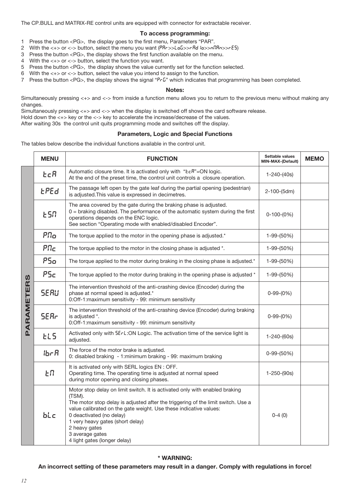The CP.BULL and MATRIX-RE control units are equipped with connector for extractable receiver.

#### To access programming:

- 1 Press the button <PG>, the display goes to the first menu, Parameters "PAR".
- 2 With the <+> or <-> button, select the menu you want (PRr>>LoG>>rRd lo>>nlRn>>rE5)
- 3 Press the button <PG>, the display shows the first function available on the menu.
- 4 With the <+> or <-> button, select the function you want.
- 5 Press the button <PG>, the display shows the value currently set for the function selected.
- 6 With the  $\lt +$  or  $\lt$  button, select the value you intend to assign to the function.
- 7 Press the button <PG>, the display shows the signal " $PrG$ " which indicates that programming has been completed.

#### Notes:

Simultaneously pressing <+> and <-> from inside a function menu allows you to return to the previous menu without making any changes.

Simultaneously pressing <+> and <-> when the display is switched off shows the card software release.

Hold down the <+> key or the <-> key to accelerate the increase/decrease of the values.

After waiting 30s the control unit quits programming mode and switches off the display.

#### Parameters, Logic and Special Functions

The tables below describe the individual functions available in the control unit.

|            | <b>MENU</b>            | <b>FUNCTION</b>                                                                                                                                                                                                                                                                                                                                                                    | Settable values<br><b>MIN-MAX-(Default)</b> | <b>MEMO</b> |
|------------|------------------------|------------------------------------------------------------------------------------------------------------------------------------------------------------------------------------------------------------------------------------------------------------------------------------------------------------------------------------------------------------------------------------|---------------------------------------------|-------------|
| PARAMETERS | E <sub>C</sub> R       | Automatic closure time. It is activated only with "ŁcR"=ON logic.<br>At the end of the preset time, the control unit controls a closure operation.                                                                                                                                                                                                                                 | $1 - 240 - (40s)$                           |             |
|            | <b>LPEd</b>            | The passage left open by the gate leaf during the partial opening (pedestrian)<br>is adjusted. This value is expressed in decimetres.                                                                                                                                                                                                                                              | 2-100-(5dm)                                 |             |
|            | ESN                    | The area covered by the gate during the braking phase is adjusted.<br>$0 =$ braking disabled. The performance of the automatic system during the first<br>operations depends on the ENC logic.<br>See section "Operating mode with enabled/disabled Encoder".                                                                                                                      | $0-100-(0%)$                                |             |
|            | $P\Omega$ <sub>O</sub> | The torque applied to the motor in the opening phase is adjusted.*                                                                                                                                                                                                                                                                                                                 | 1-99-(50%)                                  |             |
|            | PTC                    | The torque applied to the motor in the closing phase is adjusted *.                                                                                                                                                                                                                                                                                                                | 1-99-(50%)                                  |             |
|            | P50                    | The torque applied to the motor during braking in the closing phase is adjusted.*                                                                                                                                                                                                                                                                                                  | 1-99-(50%)                                  |             |
|            | <b>PSc</b>             | The torque applied to the motor during braking in the opening phase is adjusted *<br>1-99-(50%)                                                                                                                                                                                                                                                                                    |                                             |             |
|            | <b>SERU</b>            | The intervention threshold of the anti-crashing device (Encoder) during the<br>phase at normal speed is adjusted.*<br>0:Off-1:maximum sensitivity - 99: minimum sensitivity                                                                                                                                                                                                        | $0-99-(0%)$                                 |             |
|            | <b>SER<sub>r</sub></b> | The intervention threshold of the anti-crashing device (Encoder) during braking<br>is adjusted *.<br>0:Off-1:maximum sensitivity - 99: minimum sensitivity                                                                                                                                                                                                                         | $0-99-(0%)$                                 |             |
|            | EL5                    | Activated only with 5ErL: ON Logic. The activation time of the service light is<br>adjusted.                                                                                                                                                                                                                                                                                       | $1 - 240 - (60s)$                           |             |
|            | 15cR                   | The force of the motor brake is adjusted.<br>0: disabled braking - 1:minimum braking - 99: maximum braking                                                                                                                                                                                                                                                                         | $0-99-(50%)$                                |             |
|            | ŁΠ                     | It is activated only with SERL logics EN : OFF.<br>Operating time. The operating time is adjusted at normal speed<br>during motor opening and closing phases.                                                                                                                                                                                                                      | $1 - 250 - (90s)$                           |             |
|            | bLc                    | Motor stop delay on limit switch. It is activated only with enabled braking<br>(TSM).<br>The motor stop delay is adjusted after the triggering of the limit switch. Use a<br>value calibrated on the gate weight. Use these indicative values:<br>0 deactivated (no delay)<br>1 very heavy gates (short delay)<br>2 heavy gates<br>3 average gates<br>4 light gates (longer delay) | $0-4(0)$                                    |             |

# \* WARNING:

#### An incorrect setting of these parameters may result in a danger. Comply with regulations in force!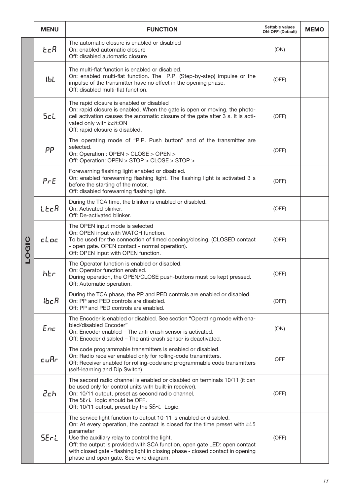|       | <b>MENU</b> | <b>FUNCTION</b>                                                                                                                                                                                                                                                                                                                                                                                                          | Settable values<br><b>ON-OFF-(Default)</b> | <b>MEMO</b> |
|-------|-------------|--------------------------------------------------------------------------------------------------------------------------------------------------------------------------------------------------------------------------------------------------------------------------------------------------------------------------------------------------------------------------------------------------------------------------|--------------------------------------------|-------------|
| LOGIC | tcR         | The automatic closure is enabled or disabled<br>On: enabled automatic closure<br>Off: disabled automatic closure                                                                                                                                                                                                                                                                                                         | (ON)                                       |             |
|       | <b>16L</b>  | The multi-flat function is enabled or disabled.<br>On: enabled multi-flat function. The P.P. (Step-by-step) impulse or the<br>impulse of the transmitter have no effect in the opening phase.<br>Off: disabled multi-flat function.                                                                                                                                                                                      | (OFF)                                      |             |
|       | ScL         | The rapid closure is enabled or disabled<br>On: rapid closure is enabled. When the gate is open or moving, the photo-<br>cell activation causes the automatic closure of the gate after 3 s. It is acti-<br>vated only with ŁcR:ON<br>Off: rapid closure is disabled.                                                                                                                                                    | (OFF)                                      |             |
|       | PP          | The operating mode of "P.P. Push button" and of the transmitter are<br>selected.<br>On: Operation : OPEN > CLOSE > OPEN ><br>Off: Operation: OPEN > STOP > CLOSE > STOP >                                                                                                                                                                                                                                                | (OFF)                                      |             |
|       | PrE         | Forewarning flashing light enabled or disabled.<br>On: enabled forewarning flashing light. The flashing light is activated 3 s<br>before the starting of the motor.<br>Off: disabled forewarning flashing light.                                                                                                                                                                                                         | (OFF)                                      |             |
|       | LECR        | During the TCA time, the blinker is enabled or disabled.<br>On: Activated blinker.<br>Off: De-activated blinker.                                                                                                                                                                                                                                                                                                         | (OFF)                                      |             |
|       | cloc        | The OPEN input mode is selected<br>On: OPEN input with WATCH function.<br>To be used for the connection of timed opening/closing. (CLOSED contact<br>- open gate. OPEN contact - normal operation).<br>Off: OPEN input with OPEN function.                                                                                                                                                                               | (OFF)                                      |             |
|       | አይሰ         | The Operator function is enabled or disabled.<br>On: Operator function enabled.<br>During operation, the OPEN/CLOSE push-buttons must be kept pressed.<br>Off: Automatic operation.                                                                                                                                                                                                                                      | (OFF)                                      |             |
|       | <b>lbcR</b> | During the TCA phase, the PP and PED controls are enabled or disabled.<br>On: PP and PED controls are disabled.<br>Off: PP and PED controls are enabled.                                                                                                                                                                                                                                                                 | (OFF)                                      |             |
|       | Enc         | The Encoder is enabled or disabled. See section "Operating mode with ena-<br>bled/disabled Encoder"<br>On: Encoder enabled – The anti-crash sensor is activated.<br>Off: Encoder disabled – The anti-crash sensor is deactivated.                                                                                                                                                                                        | (ON)                                       |             |
|       | cufir       | The code programmable transmitters is enabled or disabled.<br>On: Radio receiver enabled only for rolling-code transmitters.<br>Off: Receiver enabled for rolling-code and programmable code transmitters<br>(self-learning and Dip Switch).                                                                                                                                                                             | <b>OFF</b>                                 |             |
|       | 2ch         | The second radio channel is enabled or disabled on terminals 10/11 (it can<br>be used only for control units with built-in receiver).<br>On: 10/11 output, preset as second radio channel.<br>The 5ErL logic should be OFF.<br>Off: 10/11 output, preset by the 5ErL Logic.                                                                                                                                              | (OFF)                                      |             |
|       | <b>SErL</b> | The service light function to output 10-11 is enabled or disabled.<br>On: At every operation, the contact is closed for the time preset with EL5<br>parameter<br>Use the auxiliary relay to control the light.<br>Off: the output is provided with SCA function, open gate LED: open contact<br>with closed gate - flashing light in closing phase - closed contact in opening<br>phase and open gate. See wire diagram. | (OFF)                                      |             |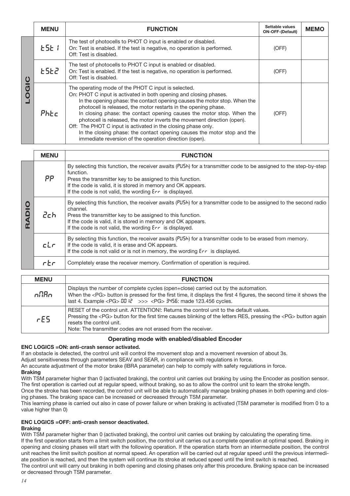|   | <b>MENU</b> | <b>FUNCTION</b>                                                                                                                                                                                                                                                                                                                                                                                                                                                                                                                                                                                                                    | Settable values<br><b>ON-OFF-(Default)</b> | <b>MEMO</b> |
|---|-------------|------------------------------------------------------------------------------------------------------------------------------------------------------------------------------------------------------------------------------------------------------------------------------------------------------------------------------------------------------------------------------------------------------------------------------------------------------------------------------------------------------------------------------------------------------------------------------------------------------------------------------------|--------------------------------------------|-------------|
| 0 | E5E1        | The test of photocells to PHOT O input is enabled or disabled.<br>On: Test is enabled. If the test is negative, no operation is performed.<br>Off: Test is disabled.                                                                                                                                                                                                                                                                                                                                                                                                                                                               | (OFF)                                      |             |
|   | <b>ESE2</b> | The test of photocells to PHOT C input is enabled or disabled.<br>On: Test is enabled. If the test is negative, no operation is performed.<br>Off: Test is disabled.                                                                                                                                                                                                                                                                                                                                                                                                                                                               | (OFF)                                      |             |
|   | Phec        | The operating mode of the PHOT C input is selected.<br>On: PHOT C input is activated in both opening and closing phases.<br>In the opening phase: the contact opening causes the motor stop. When the<br>photocell is released, the motor restarts in the opening phase.<br>In closing phase: the contact opening causes the motor stop. When the<br>photocell is released, the motor inverts the movement direction (open).<br>Off: The PHOT C input is activated in the closing phase only.<br>In the closing phase: the contact opening causes the motor stop and the<br>immediate reversion of the operation direction (open). | (OFF)                                      |             |

|          | <b>MENU</b> | <b>FUNCTION</b>                                                                                                                                                                                                                                                                                                           |  |
|----------|-------------|---------------------------------------------------------------------------------------------------------------------------------------------------------------------------------------------------------------------------------------------------------------------------------------------------------------------------|--|
| $\Omega$ | PP          | By selecting this function, the receiver awaits (PU5h) for a transmitter code to be assigned to the step-by-step<br>function.<br>Press the transmitter key to be assigned to this function.<br>If the code is valid, it is stored in memory and OK appears.<br>If the code is not valid, the wording Err is displayed.    |  |
|          | 2ch         | By selecting this function, the receiver awaits $(PU5h)$ for a transmitter code to be assigned to the second radio<br>channel.<br>Press the transmitter key to be assigned to this function.<br>If the code is valid, it is stored in memory and OK appears.<br>If the code is not valid, the wording $Err$ is displayed. |  |
|          | cL          | By selecting this function, the receiver awaits $(PU5h)$ for a transmitter code to be erased from memory.<br>If the code is valid, it is erase and OK appears.<br>If the code is not valid or is not in memory, the wording $E \rightharpoonup$ is displayed.                                                             |  |
|          | $rE$ r      | Completely erase the receiver memory. Confirmation of operation is required.                                                                                                                                                                                                                                              |  |

| <b>MENU</b> | <b>FUNCTION</b>                                                                                                                                                                                                                                                                                                                      |
|-------------|--------------------------------------------------------------------------------------------------------------------------------------------------------------------------------------------------------------------------------------------------------------------------------------------------------------------------------------|
| nfifin      | Displays the number of complete cycles (open+close) carried out by the automation.<br>When the <pg> button is pressed for the first time, it displays the first 4 figures, the second time it shows the<br/>last 4. Example <pg> <math>00 \text{ } k</math> &gt;&gt;&gt; <pg> <math>3456</math>: made 123.456 cycles.</pg></pg></pg> |
| FE5         | RESET of the control unit. ATTENTION!: Returns the control unit to the default values.<br>Pressing the <pg> button for the first time causes blinking of the letters RES, pressing the <pg> button again<br/>resets the control unit.<br/>Note: The transmitter codes are not erased from the receiver.</pg></pg>                    |

#### Operating mode with enabled/disabled Encoder

#### ENC LOGICS =ON: anti-crash sensor activated.

If an obstacle is detected, the control unit will control the movement stop and a movement reversion of about 3s.

Adjust sensitiveness through parameters SEAV and SEAR, in compliance with regulations in force.

An accurate adjustment of the motor brake (IBRA parameter) can help to comply with safety regulations in force.

#### **Braking**

With TSM parameter higher than 0 (activated braking), the control unit carries out braking by using the Encoder as position sensor. The first operation is carried out at regular speed, without braking, so as to allow the control unit to learn the stroke length.

Once the stroke has been recorded, the control unit will be able to automatically manage braking phases in both opening and closing phases. The braking space can be increased or decreased through TSM parameter.

This learning phase is carried out also in case of power failure or when braking is activated (TSM parameter is modified from 0 to a value higher than 0)

# ENC LOGICS =OFF: anti-crash sensor deactivated.

# Braking

With TSM parameter higher than 0 (activated braking), the control unit carries out braking by calculating the operating time. If the first operation starts from a limit switch position, the control unit carries out a complete operation at optimal speed. Braking in opening and closing phases will start with the following operation. If the operation starts from an intermediate position, the control unit reaches the limit switch position at normal speed. An operation will be carried out at regular speed until the previous intermediate position is reached, and then the system will continue its stroke at reduced speed until the limit switch is reached. The control unit will carry out braking in both opening and closing phases only after this procedure. Braking space can be increased or decreased through TSM parameter.